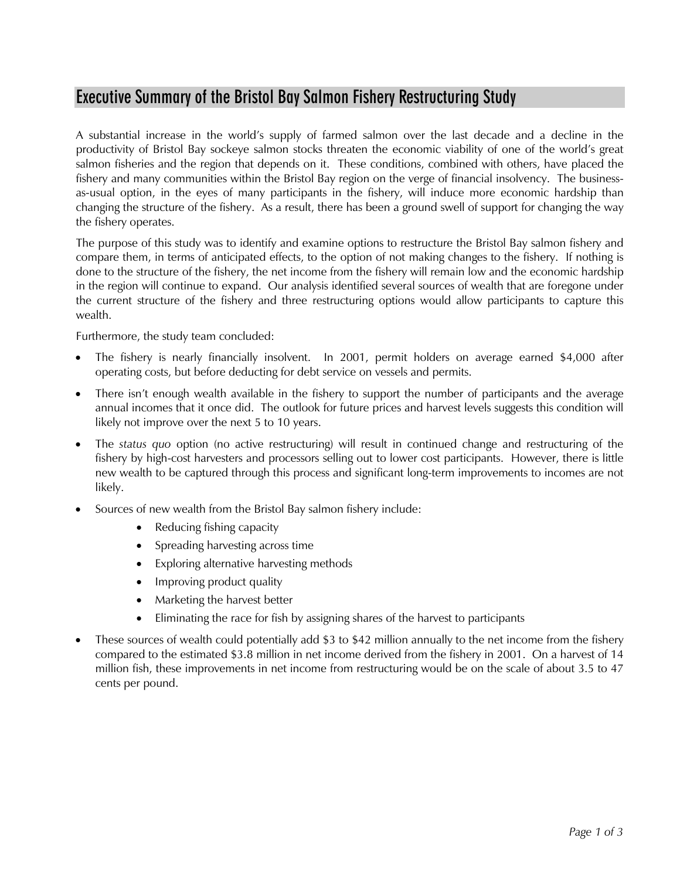## **Executive Summary of the Bristol Bay Salmon Fishery Restructuring Study**

A substantial increase in the world's supply of farmed salmon over the last decade and a decline in the productivity of Bristol Bay sockeye salmon stocks threaten the economic viability of one of the world's great salmon fisheries and the region that depends on it. These conditions, combined with others, have placed the fishery and many communities within the Bristol Bay region on the verge of financial insolvency. The businessas-usual option, in the eyes of many participants in the fishery, will induce more economic hardship than changing the structure of the fishery. As a result, there has been a ground swell of support for changing the way the fishery operates.

The purpose of this study was to identify and examine options to restructure the Bristol Bay salmon fishery and compare them, in terms of anticipated effects, to the option of not making changes to the fishery. If nothing is done to the structure of the fishery, the net income from the fishery will remain low and the economic hardship in the region will continue to expand. Our analysis identified several sources of wealth that are foregone under the current structure of the fishery and three restructuring options would allow participants to capture this wealth.

Furthermore, the study team concluded:

- The fishery is nearly financially insolvent. In 2001, permit holders on average earned \$4,000 after operating costs, but before deducting for debt service on vessels and permits.
- There isn't enough wealth available in the fishery to support the number of participants and the average annual incomes that it once did. The outlook for future prices and harvest levels suggests this condition will likely not improve over the next 5 to 10 years.
- The *status quo* option (no active restructuring) will result in continued change and restructuring of the fishery by high-cost harvesters and processors selling out to lower cost participants. However, there is little new wealth to be captured through this process and significant long-term improvements to incomes are not likely.
- Sources of new wealth from the Bristol Bay salmon fishery include:
	- Reducing fishing capacity
	- Spreading harvesting across time
	- Exploring alternative harvesting methods
	- Improving product quality
	- Marketing the harvest better
	- Eliminating the race for fish by assigning shares of the harvest to participants
- These sources of wealth could potentially add \$3 to \$42 million annually to the net income from the fishery compared to the estimated \$3.8 million in net income derived from the fishery in 2001. On a harvest of 14 million fish, these improvements in net income from restructuring would be on the scale of about 3.5 to 47 cents per pound.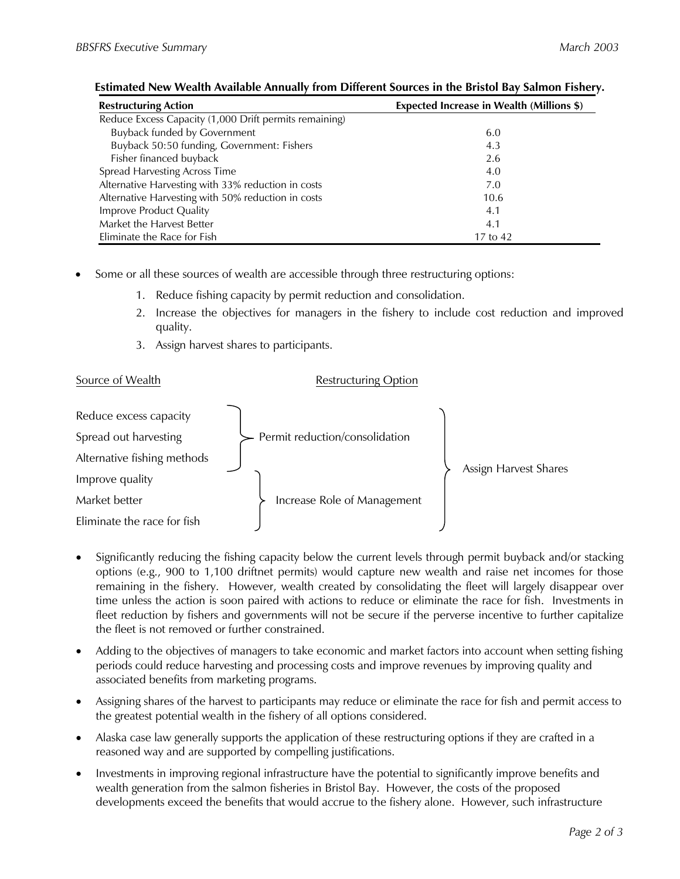| <b>Restructuring Action</b>                            | <b>Expected Increase in Wealth (Millions \$)</b> |
|--------------------------------------------------------|--------------------------------------------------|
| Reduce Excess Capacity (1,000 Drift permits remaining) |                                                  |
| <b>Buyback funded by Government</b>                    | 6.0                                              |
| Buyback 50:50 funding, Government: Fishers             | 4.3                                              |
| Fisher financed buyback                                | 2.6                                              |
| Spread Harvesting Across Time                          | 4.0                                              |
| Alternative Harvesting with 33% reduction in costs     | 7.0                                              |
| Alternative Harvesting with 50% reduction in costs     | 10.6                                             |
| Improve Product Quality                                | 4.1                                              |
| Market the Harvest Better                              | 4.1                                              |
| Eliminate the Race for Fish                            | 17 to 42                                         |

## **Estimated New Wealth Available Annually from Different Sources in the Bristol Bay Salmon Fishery.**

- Some or all these sources of wealth are accessible through three restructuring options:
	- 1. Reduce fishing capacity by permit reduction and consolidation.
	- 2. Increase the objectives for managers in the fishery to include cost reduction and improved quality.
	- 3. Assign harvest shares to participants.

## Source of Wealth **Restructuring Option**



- Significantly reducing the fishing capacity below the current levels through permit buyback and/or stacking options (e.g., 900 to 1,100 driftnet permits) would capture new wealth and raise net incomes for those remaining in the fishery. However, wealth created by consolidating the fleet will largely disappear over time unless the action is soon paired with actions to reduce or eliminate the race for fish. Investments in fleet reduction by fishers and governments will not be secure if the perverse incentive to further capitalize the fleet is not removed or further constrained.
- Adding to the objectives of managers to take economic and market factors into account when setting fishing periods could reduce harvesting and processing costs and improve revenues by improving quality and associated benefits from marketing programs.
- Assigning shares of the harvest to participants may reduce or eliminate the race for fish and permit access to the greatest potential wealth in the fishery of all options considered.
- Alaska case law generally supports the application of these restructuring options if they are crafted in a reasoned way and are supported by compelling justifications.
- Investments in improving regional infrastructure have the potential to significantly improve benefits and wealth generation from the salmon fisheries in Bristol Bay. However, the costs of the proposed developments exceed the benefits that would accrue to the fishery alone. However, such infrastructure